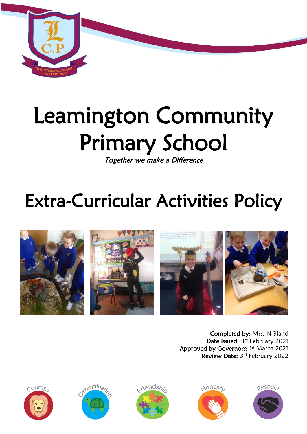

# Leamington Community Primary School

Together we make a Difference

## Extra-Curricular Activities Policy



Completed by: Mrs. N Bland Date Issued: 3rd February 2021 Approved by Governors: 1st March 2021 Review Date: 3rd February 2022









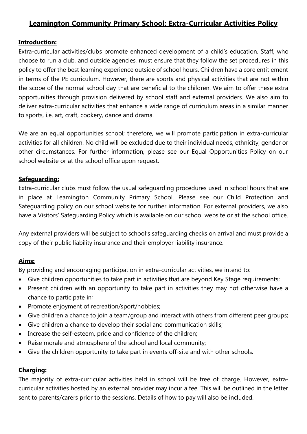### **Leamington Community Primary School: Extra-Curricular Activities Policy**

#### **Introduction:**

Extra-curricular activities/clubs promote enhanced development of a child's education. Staff, who choose to run a club, and outside agencies, must ensure that they follow the set procedures in this policy to offer the best learning experience outside of school hours. Children have a core entitlement in terms of the PE curriculum. However, there are sports and physical activities that are not within the scope of the normal school day that are beneficial to the children. We aim to offer these extra opportunities through provision delivered by school staff and external providers. We also aim to deliver extra-curricular activities that enhance a wide range of curriculum areas in a similar manner to sports, i.e. art, craft, cookery, dance and drama.

We are an equal opportunities school; therefore, we will promote participation in extra-curricular activities for all children. No child will be excluded due to their individual needs, ethnicity, gender or other circumstances. For further information, please see our Equal Opportunities Policy on our school website or at the school office upon request.

#### **Safeguarding:**

Extra-curricular clubs must follow the usual safeguarding procedures used in school hours that are in place at Leamington Community Primary School. Please see our Child Protection and Safeguarding policy on our school website for further information. For external providers, we also have a Visitors' Safeguarding Policy which is available on our school website or at the school office.

Any external providers will be subject to school's safeguarding checks on arrival and must provide a copy of their public liability insurance and their employer liability insurance.

#### **Aims:**

By providing and encouraging participation in extra-curricular activities, we intend to:

- Give children opportunities to take part in activities that are beyond Key Stage requirements;
- Present children with an opportunity to take part in activities they may not otherwise have a chance to participate in;
- Promote enjoyment of recreation/sport/hobbies;
- Give children a chance to join a team/group and interact with others from different peer groups;
- Give children a chance to develop their social and communication skills;
- Increase the self-esteem, pride and confidence of the children;
- Raise morale and atmosphere of the school and local community;
- Give the children opportunity to take part in events off-site and with other schools.

#### **Charging:**

The majority of extra-curricular activities held in school will be free of charge. However, extracurricular activities hosted by an external provider may incur a fee. This will be outlined in the letter sent to parents/carers prior to the sessions. Details of how to pay will also be included.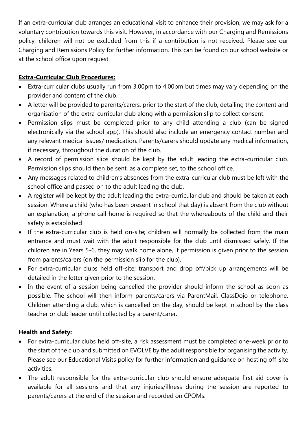If an extra-curricular club arranges an educational visit to enhance their provision, we may ask for a voluntary contribution towards this visit. However, in accordance with our Charging and Remissions policy, children will not be excluded from this if a contribution is not received. Please see our Charging and Remissions Policy for further information. This can be found on our school website or at the school office upon request.

#### **Extra-Curricular Club Procedures:**

- Extra-curricular clubs usually run from 3.00pm to 4.00pm but times may vary depending on the provider and content of the club.
- A letter will be provided to parents/carers, prior to the start of the club, detailing the content and organisation of the extra-curricular club along with a permission slip to collect consent.
- Permission slips must be completed prior to any child attending a club (can be signed electronically via the school app). This should also include an emergency contact number and any relevant medical issues/ medication. Parents/carers should update any medical information, if necessary, throughout the duration of the club.
- A record of permission slips should be kept by the adult leading the extra-curricular club. Permission slips should then be sent, as a complete set, to the school office.
- Any messages related to children's absences from the extra-curricular club must be left with the school office and passed on to the adult leading the club.
- A register will be kept by the adult leading the extra-curricular club and should be taken at each session. Where a child (who has been present in school that day) is absent from the club without an explanation, a phone call home is required so that the whereabouts of the child and their safety is established
- If the extra-curricular club is held on-site; children will normally be collected from the main entrance and must wait with the adult responsible for the club until dismissed safely. If the children are in Years 5-6, they may walk home alone, if permission is given prior to the session from parents/carers (on the permission slip for the club).
- For extra-curricular clubs held off-site; transport and drop off/pick up arrangements will be detailed in the letter given prior to the session.
- In the event of a session being cancelled the provider should inform the school as soon as possible. The school will then inform parents/carers via ParentMail, ClassDojo or telephone. Children attending a club, which is cancelled on the day, should be kept in school by the class teacher or club leader until collected by a parent/carer.

#### **Health and Safety:**

- For extra-curricular clubs held off-site, a risk assessment must be completed one-week prior to the start of the club and submitted on EVOLVE by the adult responsible for organising the activity. Please see our Educational Visits policy for further information and guidance on hosting off-site activities.
- The adult responsible for the extra-curricular club should ensure adequate first aid cover is available for all sessions and that any injuries/illness during the session are reported to parents/carers at the end of the session and recorded on CPOMs.